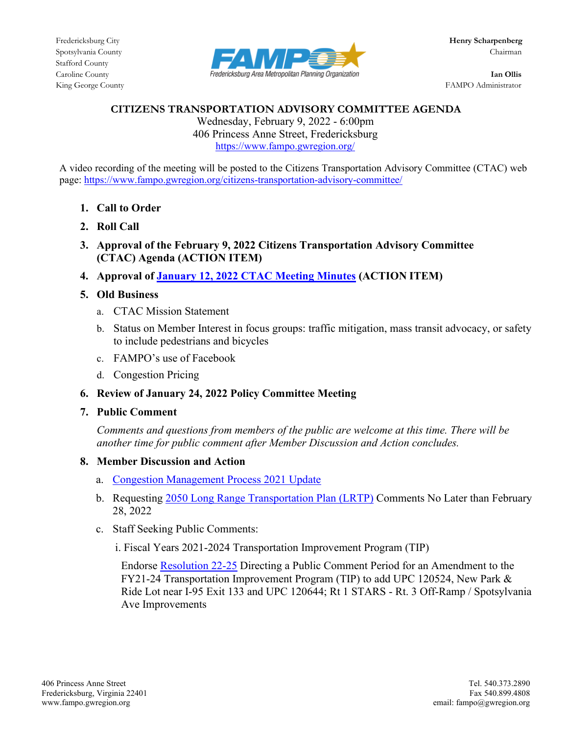Stafford County



King George County **FAMPO** Administrator

#### **CITIZENS TRANSPORTATION ADVISORY COMMITTEE AGENDA**

Wednesday, February 9, 2022 - 6:00pm 406 Princess Anne Street, Fredericksburg <https://www.fampo.gwregion.org/>

A video recording of the meeting will be posted to the Citizens Transportation Advisory Committee (CTAC) web page[: https://www.fampo.gwregion.org/citizens-transportation-advisory-committee/](https://www.fampo.gwregion.org/citizens-transportation-advisory-committee/)

- **1. Call to Order**
- **2. Roll Call**
- **3. Approval of the February 9, 2022 Citizens Transportation Advisory Committee (CTAC) Agenda (ACTION ITEM)**
- **4. Approval of January 12, 2022 [CTAC Meeting Minutes](https://www.fampo.gwregion.org/wp-content/uploads/2022/02/01.12.2022-CTAC-Minutes-Draft.pdf) (ACTION ITEM)**

# **5. Old Business**

- a. CTAC Mission Statement
- b. Status on Member Interest in focus groups: traffic mitigation, mass transit advocacy, or safety to include pedestrians and bicycles
- c. FAMPO's use of Facebook
- d. Congestion Pricing

## **6. Review of January 24, 2022 Policy Committee Meeting**

**7. Public Comment**

*Comments and questions from members of the public are welcome at this time. There will be another time for public comment after Member Discussion and Action concludes.*

## **8. Member Discussion and Action**

- a. [Congestion Management Process 2021 Update](https://www.fampo.gwregion.org/wp-content/uploads/2022/02/2021-CMP-DRAFT.pdf)
- b. Requesting [2050 Long Range Transportation Plan \(LRTP\)](https://www.fampo.gwregion.org/lrtp2050/) Comments No Later than February 28, 2022
- c. Staff Seeking Public Comments:

i. Fiscal Years 2021-2024 Transportation Improvement Program (TIP)

Endorse [Resolution 22-25](https://www.fampo.gwregion.org/wp-content/uploads/2022/02/7f1_Draft-Resolution-22-25-for-VDOT-FY21-24-TIP-Amendment-Public-Comment-Period.pdf) Directing a Public Comment Period for an Amendment to the FY21-24 Transportation Improvement Program (TIP) to add UPC 120524, New Park & Ride Lot near I-95 Exit 133 and UPC 120644; Rt 1 STARS - Rt. 3 Off-Ramp / Spotsylvania Ave Improvements